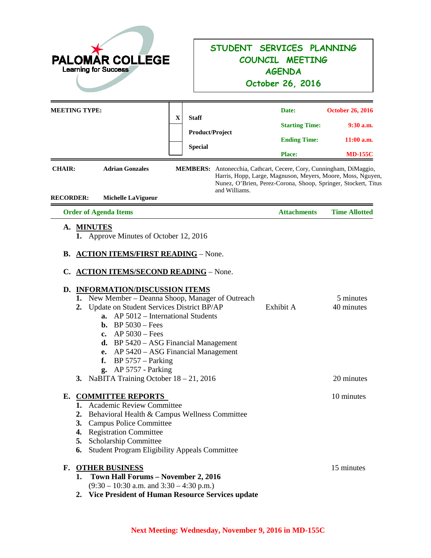| <b>PALOMAR COLLEGE</b><br><b>Learning for Success</b> |                                                                                                                                                                                                                                                                                                                                                                                                                                                                                                                                               |             |                                                                           | STUDENT SERVICES PLANNING<br>COUNCIL MEETING<br><b>AGENDA</b><br>October 26, 2016 |                                                                                                                                                                                                                                                                                |                                                                          |
|-------------------------------------------------------|-----------------------------------------------------------------------------------------------------------------------------------------------------------------------------------------------------------------------------------------------------------------------------------------------------------------------------------------------------------------------------------------------------------------------------------------------------------------------------------------------------------------------------------------------|-------------|---------------------------------------------------------------------------|-----------------------------------------------------------------------------------|--------------------------------------------------------------------------------------------------------------------------------------------------------------------------------------------------------------------------------------------------------------------------------|--------------------------------------------------------------------------|
| <b>CHAIR:</b><br><b>RECORDER:</b>                     | <b>MEETING TYPE:</b><br><b>Adrian Gonzales</b><br><b>Michelle LaVigueur</b>                                                                                                                                                                                                                                                                                                                                                                                                                                                                   | $\mathbf X$ | <b>Staff</b><br><b>Product/Project</b><br><b>Special</b><br>and Williams. |                                                                                   | Date:<br><b>Starting Time:</b><br><b>Ending Time:</b><br><b>Place:</b><br>MEMBERS: Antonecchia, Cathcart, Cecere, Cory, Cunningham, DiMaggio,<br>Harris, Hopp, Large, Magnuson, Meyers, Moore, Moss, Nguyen,<br>Nunez, O'Brien, Perez-Corona, Shoop, Springer, Stockert, Titus | <b>October 26, 2016</b><br>$9:30$ a.m.<br>$11:00$ a.m.<br><b>MD-155C</b> |
|                                                       | <b>Order of Agenda Items</b>                                                                                                                                                                                                                                                                                                                                                                                                                                                                                                                  |             |                                                                           |                                                                                   | <b>Attachments</b>                                                                                                                                                                                                                                                             | <b>Time Allotted</b>                                                     |
| D.                                                    | Approve Minutes of October 12, 2016<br>1.<br><b>B. ACTION ITEMS/FIRST READING - None.</b><br>C. ACTION ITEMS/SECOND READING - None.<br><b>INFORMATION/DISCUSSION ITEMS</b><br>New Member – Deanna Shoop, Manager of Outreach<br>1.<br>Update on Student Services District BP/AP<br>2.<br>AP 5012 – International Students<br>a.<br>$BP 5030 - Fees$<br>b.<br>$AP 5030 - Fees$<br>c.<br><b>d.</b> BP $5420 - ASG$ Financial Management<br>AP 5420 – ASG Financial Management<br>e.<br>$BP 5757 - Parking$<br>f.<br><b>g.</b> AP 5757 - Parking |             |                                                                           |                                                                                   | Exhibit A                                                                                                                                                                                                                                                                      | 5 minutes<br>40 minutes                                                  |
|                                                       | 3. NaBITA Training October $18 - 21$ , 2016                                                                                                                                                                                                                                                                                                                                                                                                                                                                                                   |             |                                                                           |                                                                                   |                                                                                                                                                                                                                                                                                | 20 minutes                                                               |
|                                                       | E. COMMITTEE REPORTS<br>1. Academic Review Committee<br>Behavioral Health & Campus Wellness Committee<br>2.<br>3. Campus Police Committee<br>4. Registration Committee<br>5. Scholarship Committee<br>6. Student Program Eligibility Appeals Committee                                                                                                                                                                                                                                                                                        |             |                                                                           |                                                                                   |                                                                                                                                                                                                                                                                                | 10 minutes                                                               |
|                                                       | <b>F. OTHER BUSINESS</b><br>1. Town Hall Forums - November 2, 2016<br>$(9:30 - 10:30$ a.m. and $3:30 - 4:30$ p.m.)<br>2. Vice President of Human Resource Services update                                                                                                                                                                                                                                                                                                                                                                     |             |                                                                           |                                                                                   |                                                                                                                                                                                                                                                                                | 15 minutes                                                               |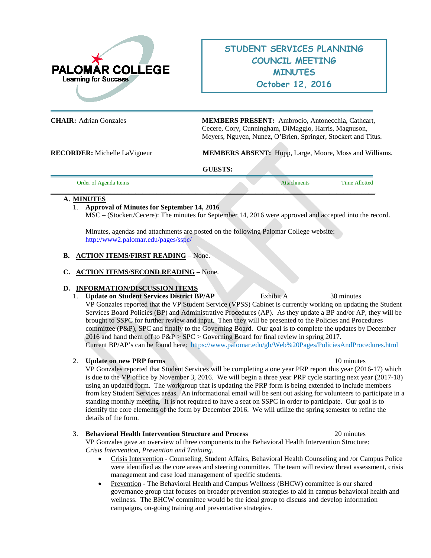

# **STUDENT SERVICES PLANNING COUNCIL MEETING MINUTES October 12, 2016**

**CHAIR:** Adrian Gonzales **MEMBERS PRESENT:** Ambrocio, Antonecchia, Cathcart, Cecere, Cory, Cunningham, DiMaggio, Harris, Magnuson, Meyers, Nguyen, Nunez, O'Brien, Springer, Stockert and Titus.

**RECORDER:** Michelle LaVigueur **MEMBERS ABSENT:** Hopp, Large, Moore, Moss and Williams.

#### **GUESTS:**

|--|

#### **A. MINUTES**

#### 1. **Approval of Minutes for September 14, 2016**

MSC – (Stockert/Cecere): The minutes for September 14, 2016 were approved and accepted into the record.

Minutes, agendas and attachments are posted on the following Palomar College website: <http://www2.palomar.edu/pages/sspc/>

#### **B. ACTION ITEMS/FIRST READING** – None.

#### **C. ACTION ITEMS/SECOND READING** – None.

#### **D. INFORMATION/DISCUSSION ITEMS**

1. **Update on Student Services District BP/AP** Exhibit A 30 minutes VP Gonzales reported that the VP Student Service (VPSS) Cabinet is currently working on updating the Student Services Board Policies (BP) and Administrative Procedures (AP). As they update a BP and/or AP, they will be brought to SSPC for further review and input. Then they will be presented to the Policies and Procedures committee (P&P), SPC and finally to the Governing Board. Our goal is to complete the updates by December 2016 and hand them off to P&P > SPC > Governing Board for final review in spring 2017. Current BP/AP's can be found here: <https://www.palomar.edu/gb/Web%20Pages/PoliciesAndProcedures.html>

#### 2. **Update on new PRP forms** 10 minutes

VP Gonzales reported that Student Services will be completing a one year PRP report this year (2016-17) which is due to the VP office by November 3, 2016. We will begin a three year PRP cycle starting next year (2017-18) using an updated form. The workgroup that is updating the PRP form is being extended to include members from key Student Services areas. An informational email will be sent out asking for volunteers to participate in a standing monthly meeting. It is not required to have a seat on SSPC in order to participate. Our goal is to identify the core elements of the form by December 2016. We will utilize the spring semester to refine the details of the form.

#### 3. **Behavioral Health Intervention Structure and Process** 20 minutes

VP Gonzales gave an overview of three components to the Behavioral Health Intervention Structure: *Crisis Intervention, Prevention and Training*.

- Crisis Intervention Counseling, Student Affairs, Behavioral Health Counseling and /or Campus Police were identified as the core areas and steering committee. The team will review threat assessment, crisis management and case load management of specific students.
- Prevention The Behavioral Health and Campus Wellness (BHCW) committee is our shared governance group that focuses on broader prevention strategies to aid in campus behavioral health and wellness. The BHCW committee would be the ideal group to discuss and develop information campaigns, on-going training and preventative strategies.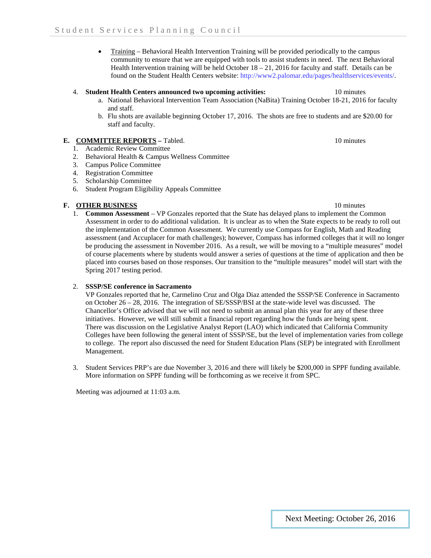• Training – Behavioral Health Intervention Training will be provided periodically to the campus community to ensure that we are equipped with tools to assist students in need. The next Behavioral Health Intervention training will be held October 18 – 21, 2016 for faculty and staff. Details can be found on the Student Health Centers website: http://www2.palomar.edu/pages/healthservices/events/.

#### 4. **Student Health Centers announced two upcoming activities:** 10 minutes

- a. National Behavioral Intervention Team Association (NaBita) Training October 18-21, 2016 for faculty and staff.
- b. Flu shots are available beginning October 17, 2016. The shots are free to students and are \$20.00 for staff and faculty.

#### **E. COMMITTEE REPORTS –** Tabled.10 minutes

- 1. Academic Review Committee
- 2. Behavioral Health & Campus Wellness Committee
- 3. Campus Police Committee
- 4. Registration Committee
- 5. Scholarship Committee
- 6. Student Program Eligibility Appeals Committee

#### **F. OTHER BUSINESS** 10 minutes

1. **Common Assessment** – VP Gonzales reported that the State has delayed plans to implement the Common Assessment in order to do additional validation. It is unclear as to when the State expects to be ready to roll out the implementation of the Common Assessment. We currently use Compass for English, Math and Reading assessment (and Accuplacer for math challenges); however, Compass has informed colleges that it will no longer be producing the assessment in November 2016. As a result, we will be moving to a "multiple measures" model of course placements where by students would answer a series of questions at the time of application and then be placed into courses based on those responses. Our transition to the "multiple measures" model will start with the Spring 2017 testing period.

#### 2. **SSSP/SE conference in Sacramento**

VP Gonzales reported that he, Carmelino Cruz and Olga Diaz attended the SSSP/SE Conference in Sacramento on October 26 – 28, 2016. The integration of SE/SSSP/BSI at the state-wide level was discussed. The Chancellor's Office advised that we will not need to submit an annual plan this year for any of these three initiatives. However, we will still submit a financial report regarding how the funds are being spent. There was discussion on the Legislative Analyst Report (LAO) which indicated that California Community Colleges have been following the general intent of SSSP/SE, but the level of implementation varies from college to college. The report also discussed the need for Student Education Plans (SEP) be integrated with Enrollment Management.

3. Student Services PRP's are due November 3, 2016 and there will likely be \$200,000 in SPPF funding available. More information on SPPF funding will be forthcoming as we receive it from SPC.

Meeting was adjourned at 11:03 a.m.

Next Meeting: October 26, 2016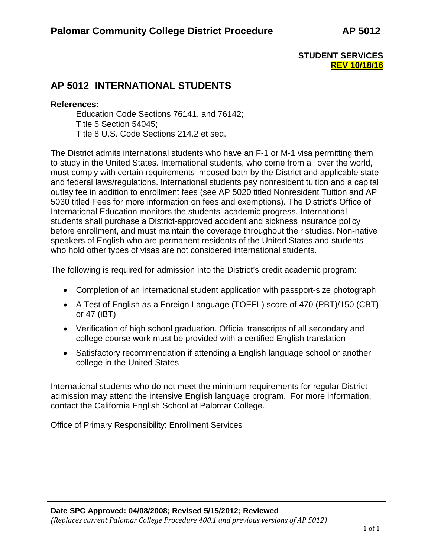## **STUDENT SERVICES REV 10/18/16**

# **AP 5012 INTERNATIONAL STUDENTS**

## **References:**

Education Code Sections 76141, and 76142; Title 5 Section 54045; Title 8 U.S. Code Sections 214.2 et seq.

The District admits international students who have an F-1 or M-1 visa permitting them to study in the United States. International students, who come from all over the world, must comply with certain requirements imposed both by the District and applicable state and federal laws/regulations. International students pay nonresident tuition and a capital outlay fee in addition to enrollment fees (see AP 5020 titled Nonresident Tuition and AP 5030 titled Fees for more information on fees and exemptions). The District's Office of International Education monitors the students' academic progress. International students shall purchase a District-approved accident and sickness insurance policy before enrollment, and must maintain the coverage throughout their studies. Non-native speakers of English who are permanent residents of the United States and students who hold other types of visas are not considered international students.

The following is required for admission into the District's credit academic program:

- Completion of an international student application with passport-size photograph
- A Test of English as a Foreign Language (TOEFL) score of 470 (PBT)/150 (CBT) or 47 (iBT)
- Verification of high school graduation. Official transcripts of all secondary and college course work must be provided with a certified English translation
- Satisfactory recommendation if attending a English language school or another college in the United States

International students who do not meet the minimum requirements for regular District admission may attend the intensive English language program. For more information, contact the California English School at Palomar College.

Office of Primary Responsibility: Enrollment Services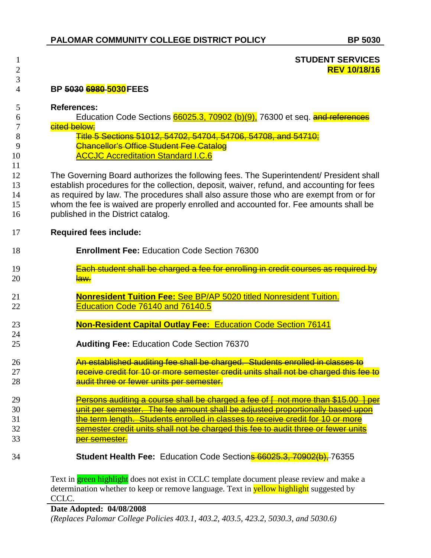### **STUDENT SERVICES REV 10/18/16**

## **BP 5030 6980 5030FEES**

### **References:**

**Education Code Sections 66025.3, 70902 (b)(9),** 76300 et seq. **and references** 7 cited below;

|    | <u>Title 5 Sections 51012, 51702, 51701, 51706, 51708, and 51710;</u><br><del>TRIC J JEGHUHS JTVTZ, J47UZ, J47U4, J47U8, J47U8, AHG J47TU,</del> |
|----|--------------------------------------------------------------------------------------------------------------------------------------------------|
|    | <b>Chancellor's Office Student Fee Catalog</b>                                                                                                   |
| 10 | <b>ACCJC Accreditation Standard I.C.6</b>                                                                                                        |

The Governing Board authorizes the following fees. The Superintendent/ President shall establish procedures for the collection, deposit, waiver, refund, and accounting for fees as required by law. The procedures shall also assure those who are exempt from or for whom the fee is waived are properly enrolled and accounted for. Fee amounts shall be published in the District catalog.

### **Required fees include:**

| 18 | <b>Enrollment Fee: Education Code Section 76300</b>                                                                 |
|----|---------------------------------------------------------------------------------------------------------------------|
| 19 | Each student shall be charged a fee for enrolling in credit courses as required by                                  |
| 20 | <del>law.</del>                                                                                                     |
| 21 | <b>Nonresident Tuition Fee: See BP/AP 5020 titled Nonresident Tuition.</b>                                          |
| 22 | Education Code 76140 and 76140.5                                                                                    |
| 23 | <b>Non-Resident Capital Outlay Fee: Education Code Section 76141</b>                                                |
| 24 |                                                                                                                     |
| 25 | <b>Auditing Fee: Education Code Section 76370</b>                                                                   |
| 26 | An established auditing fee shall be charged. Students enrolled in classes to                                       |
| 27 | receive credit for 10 or more semester credit units shall not be charged this fee to                                |
| 28 | audit three or fewer units per semester.                                                                            |
| 29 | <u>'ersons auditing a course shall be charged a fee of I</u><br><del>not more than \$15.00_</del><br><del>per</del> |

unit per semester. The fee amount shall be adjusted proportionally based upon **the term length. Students enrolled in classes to receive credit for 10 or more** 32 semester credit units shall not be charged this fee to audit three or fewer units **per semester.** 

**Student Health Fee:** Education Code Sections 66025.3, 70902(b), 76355

Text in **green highlight** does not exist in CCLC template document please review and make a determination whether to keep or remove language. Text in **yellow highlight** suggested by CCLC.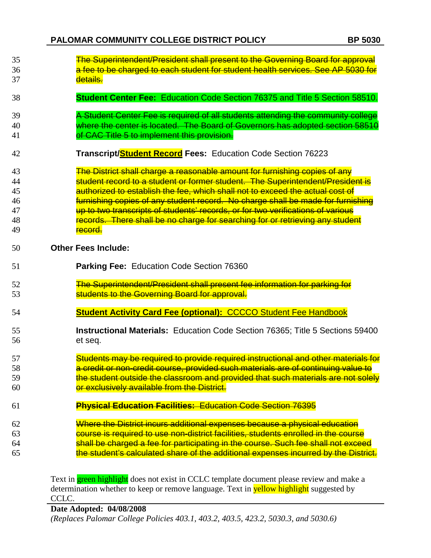| 35       | The Superintendent/President shall present to the Governing Board for approval                                                   |
|----------|----------------------------------------------------------------------------------------------------------------------------------|
| 36       | a fee to be charged to each student for student health services. See AP 5030 for                                                 |
| 37       | details.                                                                                                                         |
| 38       | <b>Student Center Fee: Education Code Section 76375 and Title 5 Section 58510.</b>                                               |
| 39       | A Student Center Fee is required of all students attending the community college                                                 |
| 40       | where the center is located. The Board of Governors has adopted section 58510                                                    |
| 41       | of CAC Title 5 to implement this provision.                                                                                      |
| 42       | Transcript/Student Record Fees: Education Code Section 76223                                                                     |
| 43       | The District shall charge a reasonable amount for furnishing copies of any                                                       |
| 44       | student record to a student or former student. The Superintendent/President is                                                   |
| 45       | authorized to establish the fee, which shall not to exceed the actual cost of                                                    |
| 46       | furnishing copies of any student record. No charge shall be made for furnishing                                                  |
| 47       | up to two transcripts of students' records, or for two verifications of various                                                  |
| 48       | records. There shall be no charge for searching for or retrieving any student                                                    |
| 49       | record.                                                                                                                          |
| 50       | <b>Other Fees Include:</b>                                                                                                       |
|          |                                                                                                                                  |
| 51       | Parking Fee: Education Code Section 76360                                                                                        |
|          |                                                                                                                                  |
| 52<br>53 | The Superintendent/President shall present fee information for parking for<br>students to the Governing Board for approval.      |
| 54       | <b>Student Activity Card Fee (optional): CCCCO Student Fee Handbook</b>                                                          |
|          |                                                                                                                                  |
| 55<br>56 | <b>Instructional Materials:</b> Education Code Section 76365; Title 5 Sections 59400<br>et seq.                                  |
| 57       | Students may be required to provide required instructional and other materials for                                               |
| 58       | a credit or non-credit course, provided such materials are of continuing value to                                                |
| 59       |                                                                                                                                  |
| 60       | the student outside the classroom and provided that such materials are not solely<br>or exclusively available from the District. |
| 61       | <b>Physical Education Facilities: Education Code Section 76395</b>                                                               |
| 62       | Where the District incurs additional expenses because a physical education                                                       |
| 63       | course is required to use non-district facilities, students enrolled in the course                                               |
| 64       | shall be charged a fee for participating in the course. Such fee shall not exceed                                                |

Text in **green highlight** does not exist in CCLC template document please review and make a determination whether to keep or remove language. Text in **yellow highlight** suggested by CCLC.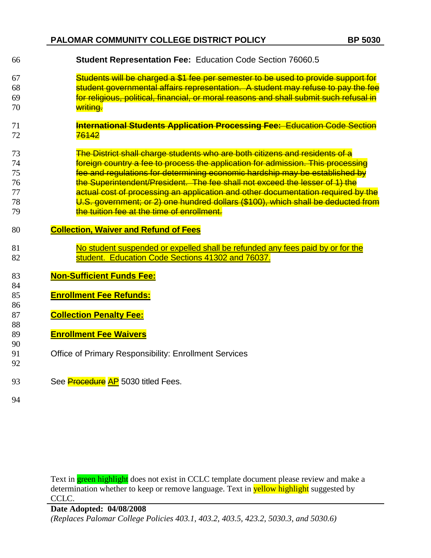# **PALOMAR COMMUNITY COLLEGE DISTRICT POLICY BP 5030**

| 66                                                 | <b>Student Representation Fee: Education Code Section 76060.5</b>                                                                                                                                     |
|----------------------------------------------------|-------------------------------------------------------------------------------------------------------------------------------------------------------------------------------------------------------|
| 67                                                 | Students will be charged a \$1 fee per semester to be used to provide support for                                                                                                                     |
| 68                                                 | student governmental affairs representation. A student may refuse to pay the fee                                                                                                                      |
| 69                                                 | for religious, political, financial, or moral reasons and shall submit such refusal in                                                                                                                |
| 70                                                 | writing.                                                                                                                                                                                              |
| 71                                                 | <b>International Students Application Processing Fee: Education Code Section</b>                                                                                                                      |
| 72                                                 | <del>76142</del>                                                                                                                                                                                      |
| 73                                                 | The District shall charge students who are both citizens and residents of a                                                                                                                           |
| 74                                                 | foreign country a fee to process the application for admission. This processing                                                                                                                       |
| 75                                                 | fee and regulations for determining economic hardship may be established by                                                                                                                           |
| 76                                                 | the Superintendent/President. The fee shall not exceed the lesser of 1) the                                                                                                                           |
| 77                                                 | actual cost of processing an application and other documentation required by the                                                                                                                      |
| 78                                                 | U.S. government; or 2) one hundred dollars (\$100), which shall be deducted from                                                                                                                      |
| 79                                                 | the tuition fee at the time of enrollment.                                                                                                                                                            |
| 80                                                 | <b>Collection, Waiver and Refund of Fees</b>                                                                                                                                                          |
| 81                                                 | No student suspended or expelled shall be refunded any fees paid by or for the                                                                                                                        |
| 82                                                 | student. Education Code Sections 41302 and 76037.                                                                                                                                                     |
| 83<br>84<br>85<br>86<br>87<br>88<br>89<br>90<br>91 | <b>Non-Sufficient Funds Fee:</b><br><b>Enrollment Fee Refunds:</b><br><b>Collection Penalty Fee:</b><br><b>Enrollment Fee Waivers</b><br><b>Office of Primary Responsibility: Enrollment Services</b> |
| 92<br>93<br>94                                     | See Procedure AP 5030 titled Fees.                                                                                                                                                                    |

Text in **green highlight** does not exist in CCLC template document please review and make a determination whether to keep or remove language. Text in **yellow highlight** suggested by CCLC.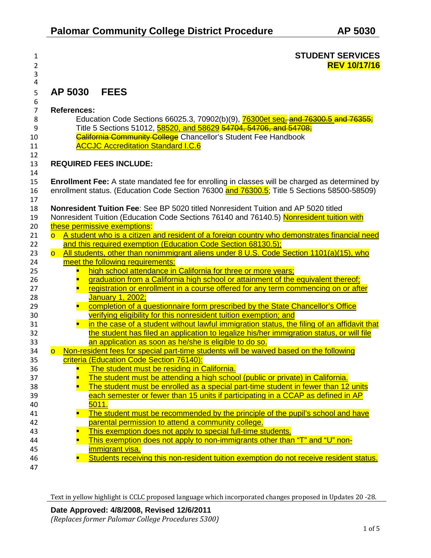| <u>. на стана на стана на стана на стана на стана на стана на стана на стана на </u> | <b>STUDENT SERVICES</b> |
|--------------------------------------------------------------------------------------|-------------------------|
| ∠                                                                                    | <b>REV 10/17/16</b>     |

# 5 **AP 5030 FEES**

3 4

| 6              |                                                                                                                         |
|----------------|-------------------------------------------------------------------------------------------------------------------------|
| $\overline{7}$ | <b>References:</b>                                                                                                      |
| 8              | Education Code Sections 66025.3, 70902(b)(9), 76300et seq-and 76300.5 and 76355;                                        |
| 9              | Title 5 Sections 51012, 58520, and 58629 54704, 54706, and 54708;                                                       |
| 10             | <b>California Community College</b> Chancellor's Student Fee Handbook                                                   |
| 11             | <b>ACCJC Accreditation Standard I.C.6</b>                                                                               |
| 12             |                                                                                                                         |
| 13             | <b>REQUIRED FEES INCLUDE:</b>                                                                                           |
| 14             |                                                                                                                         |
| 15             | <b>Enrollment Fee:</b> A state mandated fee for enrolling in classes will be charged as determined by                   |
| 16             | enrollment status. (Education Code Section 76300 and 76300.5; Title 5 Sections 58500-58509)                             |
| 17             |                                                                                                                         |
| 18             | <b>Nonresident Tuition Fee: See BP 5020 titled Nonresident Tuition and AP 5020 titled</b>                               |
| 19             | Nonresident Tuition (Education Code Sections 76140 and 76140.5) Nonresident tuition with                                |
| 20             | these permissive exemptions:                                                                                            |
| 21             | A student who is a citizen and resident of a foreign country who demonstrates financial need<br>$\overline{\mathsf{O}}$ |
| 22             | and this required exemption (Education Code Section 68130.5);                                                           |
| 23             | All students, other than nonimmigrant aliens under 8 U.S. Code Section 1101(a)(15), who<br>$\overline{\mathsf{O}}$      |
| 24             | meet the following requirements:                                                                                        |
| 25             | high school attendance in California for three or more years;                                                           |
| 26             | graduation from a California high school or attainment of the equivalent thereof;                                       |
| 27             | registration or enrollment in a course offered for any term commencing on or after                                      |
| 28             | January 1, 2002;                                                                                                        |
| 29             | completion of a questionnaire form prescribed by the State Chancellor's Office<br>Ξ                                     |
| 30             | verifying eligibility for this nonresident tuition exemption; and                                                       |
| 31             | in the case of a student without lawful immigration status, the filing of an affidavit that<br>$\blacksquare$           |
| 32             | the student has filed an application to legalize his/her immigration status, or will file                               |
| 33             | an application as soon as he/she is eligible to do so.                                                                  |
| 34             | Non-resident fees for special part-time students will be waived based on the following<br>$\overline{\circ}$            |
| 35             | criteria (Education Code Section 76140):                                                                                |
| 36             | The student must be residing in California.<br>п                                                                        |
| 37             | The student must be attending a high school (public or private) in California.                                          |
| 38             | The student must be enrolled as a special part-time student in fewer than 12 units                                      |
| 39             | each semester or fewer than 15 units if participating in a CCAP as defined in AP                                        |
| 40             | 5011.                                                                                                                   |
| 41             | The student must be recommended by the principle of the pupil's school and have                                         |
| 42             | parental permission to attend a community college.                                                                      |
| 43             | This exemption does not apply to special full-time students.                                                            |
| 44             | This exemption does not apply to non-immigrants other than "T" and "U" non-                                             |
| 45             | immigrant visa.                                                                                                         |
| 46             | Students receiving this non-resident tuition exemption do not receive resident status.                                  |
| 47             |                                                                                                                         |
|                |                                                                                                                         |

Text in yellow highlight is CCLC proposed language which incorporated changes proposed in Updates 20 -28.

**Date Approved: 4/8/2008, Revised 12/6/2011** *(Replaces former Palomar College Procedures 5300)*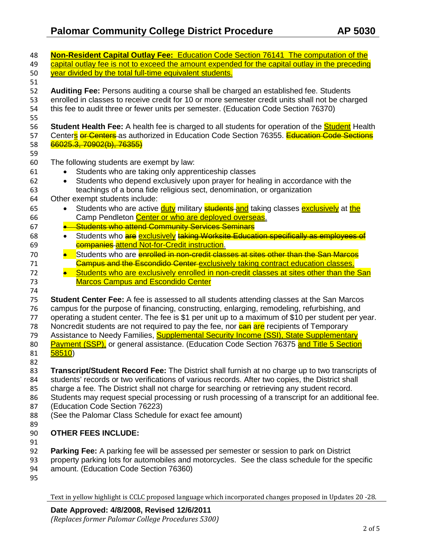| 48 | Non-Resident Capital Outlay Fee: Education Code Section 76141 The computation of the                                   |  |  |  |  |  |
|----|------------------------------------------------------------------------------------------------------------------------|--|--|--|--|--|
| 49 | capital outlay fee is not to exceed the amount expended for the capital outlay in the preceding                        |  |  |  |  |  |
| 50 | year divided by the total full-time equivalent students.                                                               |  |  |  |  |  |
| 51 |                                                                                                                        |  |  |  |  |  |
| 52 | Auditing Fee: Persons auditing a course shall be charged an established fee. Students                                  |  |  |  |  |  |
| 53 | enrolled in classes to receive credit for 10 or more semester credit units shall not be charged                        |  |  |  |  |  |
| 54 | this fee to audit three or fewer units per semester. (Education Code Section 76370)                                    |  |  |  |  |  |
| 55 |                                                                                                                        |  |  |  |  |  |
| 56 | Student Health Fee: A health fee is charged to all students for operation of the <b>Student</b> Health                 |  |  |  |  |  |
| 57 | Centers or Centers as authorized in Education Code Section 76355. Education Code Sections                              |  |  |  |  |  |
| 58 | 66025.3, 70902(b), 76355)                                                                                              |  |  |  |  |  |
| 59 |                                                                                                                        |  |  |  |  |  |
| 60 | The following students are exempt by law:                                                                              |  |  |  |  |  |
| 61 | Students who are taking only apprenticeship classes                                                                    |  |  |  |  |  |
| 62 | Students who depend exclusively upon prayer for healing in accordance with the                                         |  |  |  |  |  |
| 63 | teachings of a bona fide religious sect, denomination, or organization                                                 |  |  |  |  |  |
| 64 | Other exempt students include:                                                                                         |  |  |  |  |  |
| 65 | Students who are active <b>duty</b> military <b>students and</b> taking classes <b>exclusively</b> at the<br>$\bullet$ |  |  |  |  |  |
| 66 | Camp Pendleton Center or who are deployed overseas.                                                                    |  |  |  |  |  |
|    | <b>Students who attend Community Services Seminars</b>                                                                 |  |  |  |  |  |
| 67 |                                                                                                                        |  |  |  |  |  |
| 68 | Students who are exclusively taking Worksite Education specifically as employees of<br>$\bullet$                       |  |  |  |  |  |
| 69 | companies attend Not-for-Credit instruction.                                                                           |  |  |  |  |  |
| 70 | Students who are <b>enrolled in non-credit classes at sites other than the San Marcos</b><br>$\bullet$                 |  |  |  |  |  |
| 71 | <b>Campus and the Escondido Center exclusively taking contract education classes.</b>                                  |  |  |  |  |  |
| 72 | Students who are exclusively enrolled in non-credit classes at sites other than the San                                |  |  |  |  |  |
| 73 | <b>Marcos Campus and Escondido Center</b>                                                                              |  |  |  |  |  |
| 74 |                                                                                                                        |  |  |  |  |  |
| 75 | <b>Student Center Fee:</b> A fee is assessed to all students attending classes at the San Marcos                       |  |  |  |  |  |
| 76 | campus for the purpose of financing, constructing, enlarging, remodeling, refurbishing, and                            |  |  |  |  |  |
| 77 | operating a student center. The fee is \$1 per unit up to a maximum of \$10 per student per year.                      |  |  |  |  |  |
| 78 | Noncredit students are not required to pay the fee, nor <b>can are</b> recipients of Temporary                         |  |  |  |  |  |
| 79 | Assistance to Needy Families, Supplemental Security Income (SSI), State Supplementary                                  |  |  |  |  |  |
| 80 | Payment (SSP), or general assistance. (Education Code Section 76375 and Title 5 Section                                |  |  |  |  |  |
| 81 | 58510)                                                                                                                 |  |  |  |  |  |
| 82 |                                                                                                                        |  |  |  |  |  |
| 83 | Transcript/Student Record Fee: The District shall furnish at no charge up to two transcripts of                        |  |  |  |  |  |
| 84 | students' records or two verifications of various records. After two copies, the District shall                        |  |  |  |  |  |
| 85 | charge a fee. The District shall not charge for searching or retrieving any student record.                            |  |  |  |  |  |
| 86 | Students may request special processing or rush processing of a transcript for an additional fee.                      |  |  |  |  |  |
| 87 | (Education Code Section 76223)                                                                                         |  |  |  |  |  |
| 88 | (See the Palomar Class Schedule for exact fee amount)                                                                  |  |  |  |  |  |
| 89 |                                                                                                                        |  |  |  |  |  |
| 90 | <b>OTHER FEES INCLUDE:</b>                                                                                             |  |  |  |  |  |
| 91 |                                                                                                                        |  |  |  |  |  |
| 92 | Parking Fee: A parking fee will be assessed per semester or session to park on District                                |  |  |  |  |  |
| 93 | property parking lots for automobiles and motorcycles. See the class schedule for the specific                         |  |  |  |  |  |
| 94 | amount. (Education Code Section 76360)                                                                                 |  |  |  |  |  |
| 95 |                                                                                                                        |  |  |  |  |  |
|    |                                                                                                                        |  |  |  |  |  |

Text in yellow highlight is CCLC proposed language which incorporated changes proposed in Updates 20 -28.

**Date Approved: 4/8/2008, Revised 12/6/2011**

*(Replaces former Palomar College Procedures 5300)*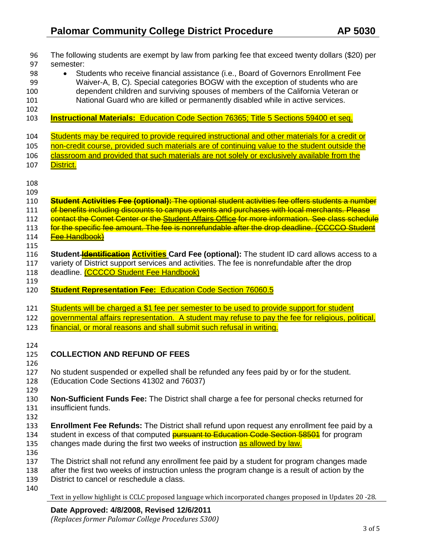| 96         | The following students are exempt by law from parking fee that exceed twenty dollars (\$20) per           |
|------------|-----------------------------------------------------------------------------------------------------------|
| 97         | semester:                                                                                                 |
| 98         | Students who receive financial assistance (i.e., Board of Governors Enrollment Fee<br>$\bullet$           |
| 99         | Waiver-A, B, C). Special categories BOGW with the exception of students who are                           |
| 100        | dependent children and surviving spouses of members of the California Veteran or                          |
| 101<br>102 | National Guard who are killed or permanently disabled while in active services.                           |
| 103        | <b>Instructional Materials:</b> Education Code Section 76365; Title 5 Sections 59400 et seq.              |
| 104        | Students may be required to provide required instructional and other materials for a credit or            |
| 105        | non-credit course, provided such materials are of continuing value to the student outside the             |
| 106        | classroom and provided that such materials are not solely or exclusively available from the               |
| 107        | District.                                                                                                 |
| 108        |                                                                                                           |
| 109        |                                                                                                           |
| 110        | Student Activities Fee (optional): The optional student activities fee offers students a number           |
| 111        | of benefits including discounts to campus events and purchases with local merchants. Please               |
| 112        | contact the Comet Center or the Student Affairs Office for more information. See class schedule           |
| 113        | for the specific fee amount. The fee is nonrefundable after the drop deadline. (CCCCO Student             |
| 114        | <b>Fee Handbook)</b>                                                                                      |
| 115        |                                                                                                           |
| 116        | Student <b>Identification Activities Card Fee (optional):</b> The student ID card allows access to a      |
| 117        | variety of District support services and activities. The fee is nonrefundable after the drop              |
| 118        | deadline. (CCCCO Student Fee Handbook)                                                                    |
| 119        |                                                                                                           |
| 120        | <b>Student Representation Fee: Education Code Section 76060.5</b>                                         |
| 121        | Students will be charged a \$1 fee per semester to be used to provide support for student                 |
| 122        | governmental affairs representation. A student may refuse to pay the fee for religious, political,        |
| 123        | financial, or moral reasons and shall submit such refusal in writing.                                     |
|            |                                                                                                           |
| 124        |                                                                                                           |
| 125        | <b>COLLECTION AND REFUND OF FEES</b>                                                                      |
| 126        |                                                                                                           |
| 127        | No student suspended or expelled shall be refunded any fees paid by or for the student.                   |
| 128        | (Education Code Sections 41302 and 76037)                                                                 |
| 129        |                                                                                                           |
| 130        | Non-Sufficient Funds Fee: The District shall charge a fee for personal checks returned for                |
| 131        | insufficient funds.                                                                                       |
| 132        |                                                                                                           |
| 133        | Enrollment Fee Refunds: The District shall refund upon request any enrollment fee paid by a               |
| 134        | student in excess of that computed <b>pursuant to Education Code Section 58501</b> for program            |
| 135        | changes made during the first two weeks of instruction as allowed by law.                                 |
| 136        |                                                                                                           |
| 137        | The District shall not refund any enrollment fee paid by a student for program changes made               |
| 138        | after the first two weeks of instruction unless the program change is a result of action by the           |
| 139        | District to cancel or reschedule a class.                                                                 |
| 140        |                                                                                                           |
|            | Text in yellow highlight is CCLC proposed language which incorporated changes proposed in Updates 20 -28. |

# **Date Approved: 4/8/2008, Revised 12/6/2011**

*(Replaces former Palomar College Procedures 5300)*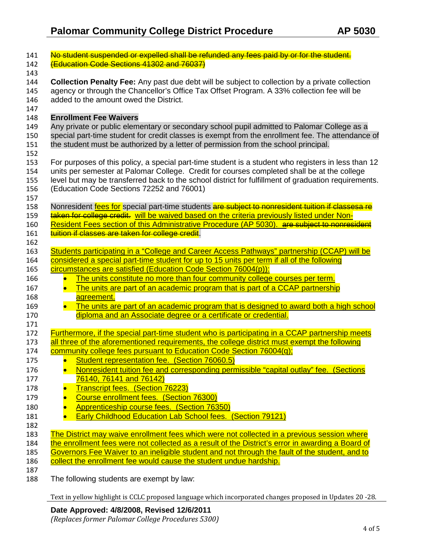| 141        | No student suspended or expelled shall be refunded any fees paid by or for the student.                |
|------------|--------------------------------------------------------------------------------------------------------|
| 142        | <b>(Education Code Sections 41302 and 76037)</b>                                                       |
| 143        |                                                                                                        |
| 144        | <b>Collection Penalty Fee:</b> Any past due debt will be subject to collection by a private collection |
| 145        | agency or through the Chancellor's Office Tax Offset Program. A 33% collection fee will be             |
| 146        | added to the amount owed the District.                                                                 |
| 147        |                                                                                                        |
| 148        | <b>Enrollment Fee Waivers</b>                                                                          |
| 149        | Any private or public elementary or secondary school pupil admitted to Palomar College as a            |
| 150        | special part-time student for credit classes is exempt from the enrollment fee. The attendance of      |
| 151        | the student must be authorized by a letter of permission from the school principal.                    |
| 152        |                                                                                                        |
| 153        | For purposes of this policy, a special part-time student is a student who registers in less than 12    |
| 154        | units per semester at Palomar College. Credit for courses completed shall be at the college            |
| 155        | level but may be transferred back to the school district for fulfillment of graduation requirements.   |
| 156        | (Education Code Sections 72252 and 76001)                                                              |
| 157        | Nonresident fees for special part-time students are subject to nonresident tuition if classesa re      |
| 158<br>159 | taken for college credit. will be waived based on the criteria previously listed under Non-            |
| 160        | Resident Fees section of this Administrative Procedure (AP 5030). are subject to nonresident           |
| 161        | tuition if classes are taken for college credit.                                                       |
| 162        |                                                                                                        |
| 163        | Students participating in a "College and Career Access Pathways" partnership (CCAP) will be            |
| 164        | considered a special part-time student for up to 15 units per term if all of the following             |
| 165        | circumstances are satisfied (Education Code Section 76004(p)):                                         |
| 166        | The units constitute no more than four community college courses per term.<br>$\bullet$                |
| 167        | The units are part of an academic program that is part of a CCAP partnership<br>$\bullet$              |
| 168        | agreement.                                                                                             |
| 169        | $\bullet$<br>The units are part of an academic program that is designed to award both a high school    |
| 170        | diploma and an Associate degree or a certificate or credential.                                        |
| 171        |                                                                                                        |
| 172        | Furthermore, if the special part-time student who is participating in a CCAP partnership meets         |
| 173        | all three of the aforementioned requirements, the college district must exempt the following           |
| 174        | community college fees pursuant to Education Code Section 76004(q);                                    |
| 175        | Student representation fee. (Section 76060.5)<br>$\bullet$                                             |
| 176        | Nonresident tuition fee and corresponding permissible "capital outlay" fee. (Sections<br>$\bullet$     |
| 177        | 76140, 76141 and 76142)                                                                                |
| 178        | <b>Transcript fees. (Section 76223)</b>                                                                |
| 179        | Course enrollment fees. (Section 76300)                                                                |
| 180        | Apprenticeship course fees. (Section 76350)                                                            |
|            | <b>Early Childhood Education Lab School fees. (Section 79121)</b>                                      |
| 181        |                                                                                                        |
| 182        | The District may waive enrollment fees which were not collected in a previous session where            |
| 183        | the enrollment fees were not collected as a result of the District's error in awarding a Board of      |
| 184        | Governors Fee Waiver to an ineligible student and not through the fault of the student, and to         |
| 185<br>186 | collect the enrollment fee would cause the student undue hardship.                                     |
| 187        |                                                                                                        |
| 188        | The following students are exempt by law:                                                              |
|            |                                                                                                        |

Text in yellow highlight is CCLC proposed language which incorporated changes proposed in Updates 20 -28.

**Date Approved: 4/8/2008, Revised 12/6/2011**

*(Replaces former Palomar College Procedures 5300)*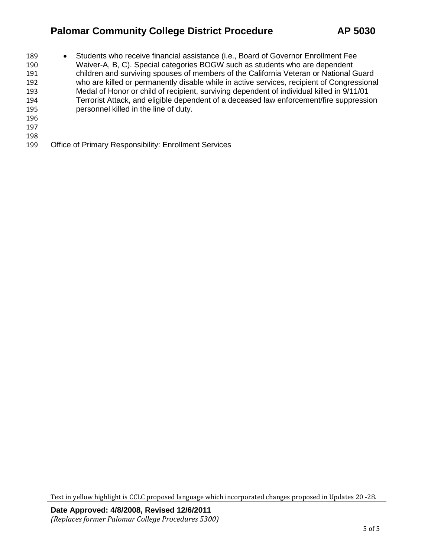# **Palomar Community College District Procedure AP 5030**

| 189 | $\bullet$ | Students who receive financial assistance (i.e., Board of Governor Enrollment Fee          |
|-----|-----------|--------------------------------------------------------------------------------------------|
| 190 |           | Waiver-A, B, C). Special categories BOGW such as students who are dependent                |
| 191 |           | children and surviving spouses of members of the California Veteran or National Guard      |
| 192 |           | who are killed or permanently disable while in active services, recipient of Congressional |
| 193 |           | Medal of Honor or child of recipient, surviving dependent of individual killed in 9/11/01  |
| 194 |           | Terrorist Attack, and eligible dependent of a deceased law enforcement/fire suppression    |
| 195 |           | personnel killed in the line of duty.                                                      |
| 196 |           |                                                                                            |
| 197 |           |                                                                                            |
| 198 |           |                                                                                            |
|     |           |                                                                                            |

Office of Primary Responsibility: Enrollment Services

Text in yellow highlight is CCLC proposed language which incorporated changes proposed in Updates 20 -28.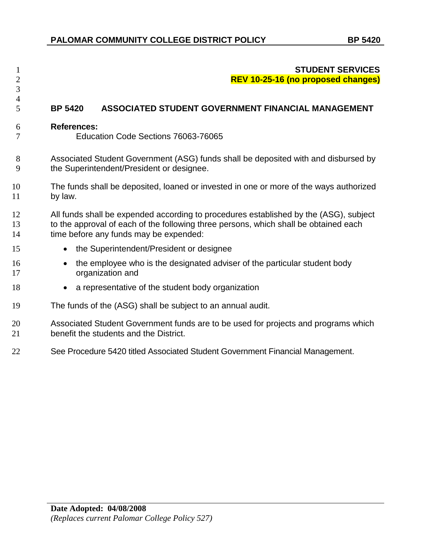# **STUDENT SERVICES REV 10-25-16 (no proposed changes)**

# **BP 5420 ASSOCIATED STUDENT GOVERNMENT FINANCIAL MANAGEMENT**

### **References:**

 

Education Code Sections 76063-76065

- Associated Student Government (ASG) funds shall be deposited with and disbursed by the Superintendent/President or designee.
- The funds shall be deposited, loaned or invested in one or more of the ways authorized by law.
- All funds shall be expended according to procedures established by the (ASG), subject to the approval of each of the following three persons, which shall be obtained each 14 time before any funds may be expended:
- 15 the Superintendent/President or designee
- 16 the employee who is the designated adviser of the particular student body organization and
- 18 a representative of the student body organization
- The funds of the (ASG) shall be subject to an annual audit.
- Associated Student Government funds are to be used for projects and programs which benefit the students and the District.
- See Procedure 5420 titled Associated Student Government Financial Management.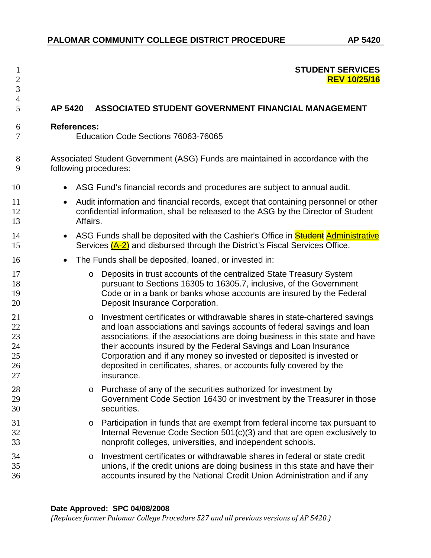# 1 **STUDENT SERVICES** 2 **REV 10/25/16**

# 5 **AP 5420 ASSOCIATED STUDENT GOVERNMENT FINANCIAL MANAGEMENT**

#### 6 **References:**

3 4

7 Education Code Sections 76063-76065

8 Associated Student Government (ASG) Funds are maintained in accordance with the 9 following procedures:

- 10 ASG Fund's financial records and procedures are subject to annual audit.
- 11 Audit information and financial records, except that containing personnel or other 12 confidential information, shall be released to the ASG by the Director of Student 13 Affairs.
- 14 ASG Funds shall be deposited with the Cashier's Office in **Student Administrative** 15 Services (A-2) and disbursed through the District's Fiscal Services Office.
- 16 The Funds shall be deposited, loaned, or invested in:
- 17 **17** o Deposits in trust accounts of the centralized State Treasury System<br>18 **pursuant to Sections 16305 to 16305.7** inclusive, of the Governmen pursuant to Sections 16305 to 16305.7, inclusive, of the Government 19 Code or in a bank or banks whose accounts are insured by the Federal 20 Deposit Insurance Corporation.
- 21 o Investment certificates or withdrawable shares in state-chartered savings<br>22 and loan associations and savings accounts of federal savings and loan and loan associations and savings accounts of federal savings and loan 23 associations, if the associations are doing business in this state and have 24 their accounts insured by the Federal Savings and Loan Insurance 25 Corporation and if any money so invested or deposited is invested or 26 deposited in certificates, shares, or accounts fully covered by the 27 insurance.
- 28 o Purchase of any of the securities authorized for investment by<br>29 **Government Code Section 16430 or investment by the Treasu** Government Code Section 16430 or investment by the Treasurer in those 30 securities.
- 31 o Participation in funds that are exempt from federal income tax pursuant to<br>32 **hternal Revenue Code Section 501(c)(3)** and that are open exclusively to Internal Revenue Code Section 501(c)(3) and that are open exclusively to 33 nonprofit colleges, universities, and independent schools.
- 34 o Investment certificates or withdrawable shares in federal or state credit<br>35 o cunions, if the credit unions are doing business in this state and have the 35 unions, if the credit unions are doing business in this state and have their 36 accounts insured by the National Credit Union Administration and if any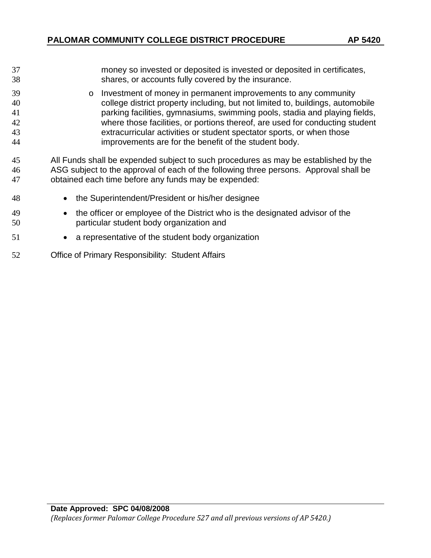| 37        | money so invested or deposited is invested or deposited in certificates,       |
|-----------|--------------------------------------------------------------------------------|
| 38        | shares, or accounts fully covered by the insurance.                            |
| 39        | Investment of money in permanent improvements to any community<br>$\circ$      |
| 40        | college district property including, but not limited to, buildings, automobile |
| 41        | parking facilities, gymnasiums, swimming pools, stadia and playing fields,     |
| $\Lambda$ | where these facilities, er pertiens thereof, are used for conducting student   |

 where those facilities, or portions thereof, are used for conducting student extracurricular activities or student spectator sports, or when those improvements are for the benefit of the student body.

 All Funds shall be expended subject to such procedures as may be established by the ASG subject to the approval of each of the following three persons. Approval shall be obtained each time before any funds may be expended:

- the Superintendent/President or his/her designee
- the officer or employee of the District who is the designated advisor of the particular student body organization and
- a representative of the student body organization
- Office of Primary Responsibility: Student Affairs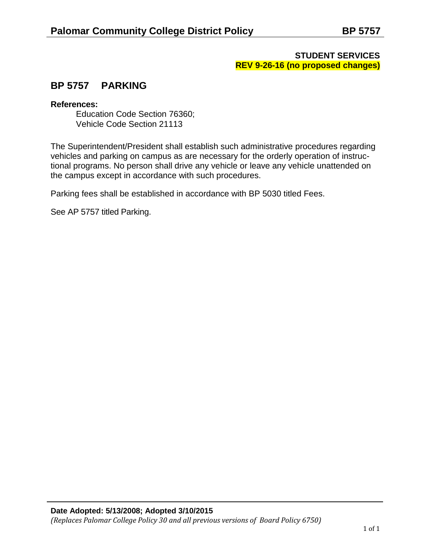# **STUDENT SERVICES REV 9-26-16 (no proposed changes)**

# **BP 5757 PARKING**

## **References:**

Education Code Section 76360; Vehicle Code Section 21113

The Superintendent/President shall establish such administrative procedures regarding vehicles and parking on campus as are necessary for the orderly operation of instructional programs. No person shall drive any vehicle or leave any vehicle unattended on the campus except in accordance with such procedures.

Parking fees shall be established in accordance with BP 5030 titled Fees.

See AP 5757 titled Parking.